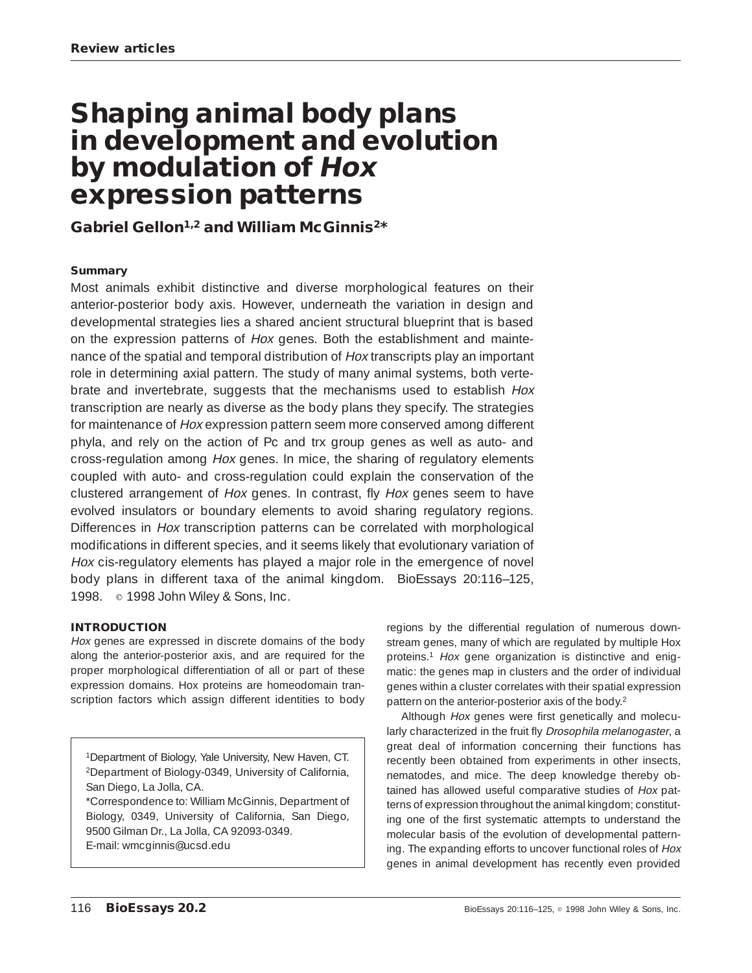# **Shaping animal body plans in development and evolution by modulation of Hox expression patterns**

## **Gabriel Gellon1,2 and William McGinnis2\***

#### **Summary**

Most animals exhibit distinctive and diverse morphological features on their anterior-posterior body axis. However, underneath the variation in design and developmental strategies lies a shared ancient structural blueprint that is based on the expression patterns of Hox genes. Both the establishment and maintenance of the spatial and temporal distribution of Hox transcripts play an important role in determining axial pattern. The study of many animal systems, both vertebrate and invertebrate, suggests that the mechanisms used to establish Hox transcription are nearly as diverse as the body plans they specify. The strategies for maintenance of Hox expression pattern seem more conserved among different phyla, and rely on the action of Pc and trx group genes as well as auto- and cross-regulation among Hox genes. In mice, the sharing of regulatory elements coupled with auto- and cross-regulation could explain the conservation of the clustered arrangement of Hox genes. In contrast, fly Hox genes seem to have evolved insulators or boundary elements to avoid sharing regulatory regions. Differences in Hox transcription patterns can be correlated with morphological modifications in different species, and it seems likely that evolutionary variation of Hox cis-regulatory elements has played a major role in the emergence of novel body plans in different taxa of the animal kingdom. BioEssays 20:116–125, 1998. **c** 1998 John Wiley & Sons, Inc.

#### **INTRODUCTION**

Hox genes are expressed in discrete domains of the body along the anterior-posterior axis, and are required for the proper morphological differentiation of all or part of these expression domains. Hox proteins are homeodomain transcription factors which assign different identities to body

1Department of Biology, Yale University, New Haven, CT. 2Department of Biology-0349, University of California, San Diego, La Jolla, CA.

\*Correspondence to: William McGinnis, Department of Biology, 0349, University of California, San Diego, 9500 Gilman Dr., La Jolla, CA 92093-0349. E-mail: wmcginnis@ucsd.edu

regions by the differential regulation of numerous downstream genes, many of which are regulated by multiple Hox proteins.1 Hox gene organization is distinctive and enigmatic: the genes map in clusters and the order of individual genes within a cluster correlates with their spatial expression pattern on the anterior-posterior axis of the body.<sup>2</sup>

Although Hox genes were first genetically and molecularly characterized in the fruit fly Drosophila melanogaster, a great deal of information concerning their functions has recently been obtained from experiments in other insects, nematodes, and mice. The deep knowledge thereby obtained has allowed useful comparative studies of Hox patterns of expression throughout the animal kingdom; constituting one of the first systematic attempts to understand the molecular basis of the evolution of developmental patterning. The expanding efforts to uncover functional roles of Hox genes in animal development has recently even provided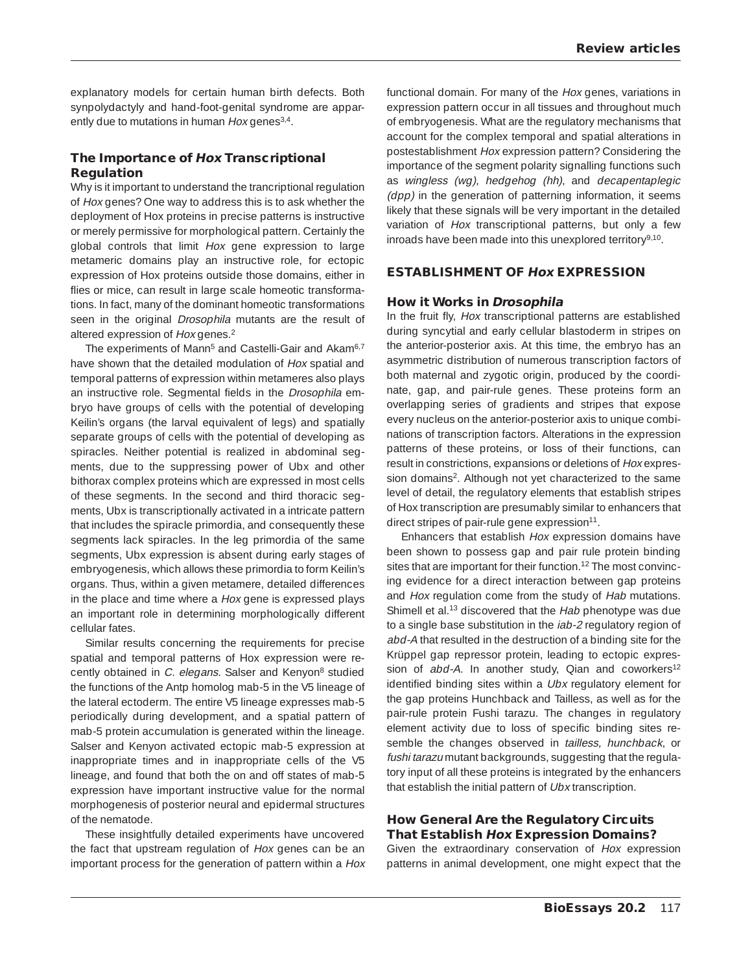explanatory models for certain human birth defects. Both synpolydactyly and hand-foot-genital syndrome are apparently due to mutations in human Hox genes<sup>3,4</sup>.

#### **The Importance of Hox Transcriptional Regulation**

Why is it important to understand the trancriptional regulation of Hox genes? One way to address this is to ask whether the deployment of Hox proteins in precise patterns is instructive or merely permissive for morphological pattern. Certainly the global controls that limit Hox gene expression to large metameric domains play an instructive role, for ectopic expression of Hox proteins outside those domains, either in flies or mice, can result in large scale homeotic transformations. In fact, many of the dominant homeotic transformations seen in the original *Drosophila* mutants are the result of altered expression of Hox genes.2

The experiments of Mann<sup>5</sup> and Castelli-Gair and Akam<sup>6,7</sup> have shown that the detailed modulation of Hox spatial and temporal patterns of expression within metameres also plays an instructive role. Segmental fields in the Drosophila embryo have groups of cells with the potential of developing Keilin's organs (the larval equivalent of legs) and spatially separate groups of cells with the potential of developing as spiracles. Neither potential is realized in abdominal segments, due to the suppressing power of Ubx and other bithorax complex proteins which are expressed in most cells of these segments. In the second and third thoracic segments, Ubx is transcriptionally activated in a intricate pattern that includes the spiracle primordia, and consequently these segments lack spiracles. In the leg primordia of the same segments, Ubx expression is absent during early stages of embryogenesis, which allows these primordia to form Keilin's organs. Thus, within a given metamere, detailed differences in the place and time where a Hox gene is expressed plays an important role in determining morphologically different cellular fates.

Similar results concerning the requirements for precise spatial and temporal patterns of Hox expression were recently obtained in C. elegans. Salser and Kenyon<sup>8</sup> studied the functions of the Antp homolog mab-5 in the V5 lineage of the lateral ectoderm. The entire V5 lineage expresses mab-5 periodically during development, and a spatial pattern of mab-5 protein accumulation is generated within the lineage. Salser and Kenyon activated ectopic mab-5 expression at inappropriate times and in inappropriate cells of the V5 lineage, and found that both the on and off states of mab-5 expression have important instructive value for the normal morphogenesis of posterior neural and epidermal structures of the nematode.

These insightfully detailed experiments have uncovered the fact that upstream regulation of Hox genes can be an important process for the generation of pattern within a Hox functional domain. For many of the Hox genes, variations in expression pattern occur in all tissues and throughout much of embryogenesis. What are the regulatory mechanisms that account for the complex temporal and spatial alterations in postestablishment Hox expression pattern? Considering the importance of the segment polarity signalling functions such as wingless (wg), hedgehog (hh), and decapentaplegic (dpp) in the generation of patterning information, it seems likely that these signals will be very important in the detailed variation of Hox transcriptional patterns, but only a few inroads have been made into this unexplored territory $9,10$ .

## **ESTABLISHMENT OF Hox EXPRESSION**

## **How it Works in Drosophila**

In the fruit fly, Hox transcriptional patterns are established during syncytial and early cellular blastoderm in stripes on the anterior-posterior axis. At this time, the embryo has an asymmetric distribution of numerous transcription factors of both maternal and zygotic origin, produced by the coordinate, gap, and pair-rule genes. These proteins form an overlapping series of gradients and stripes that expose every nucleus on the anterior-posterior axis to unique combinations of transcription factors. Alterations in the expression patterns of these proteins, or loss of their functions, can result in constrictions, expansions or deletions of Hox expression domains<sup>2</sup>. Although not yet characterized to the same level of detail, the regulatory elements that establish stripes of Hox transcription are presumably similar to enhancers that direct stripes of pair-rule gene expression<sup>11</sup>.

Enhancers that establish Hox expression domains have been shown to possess gap and pair rule protein binding sites that are important for their function.<sup>12</sup> The most convincing evidence for a direct interaction between gap proteins and Hox regulation come from the study of Hab mutations. Shimell et al.<sup>13</sup> discovered that the Hab phenotype was due to a single base substitution in the *iab-2* regulatory region of abd-A that resulted in the destruction of a binding site for the Krüppel gap repressor protein, leading to ectopic expression of abd-A. In another study, Qian and coworkers<sup>12</sup> identified binding sites within a Ubx regulatory element for the gap proteins Hunchback and Tailless, as well as for the pair-rule protein Fushi tarazu. The changes in regulatory element activity due to loss of specific binding sites resemble the changes observed in tailless, hunchback, or fushi tarazu mutant backgrounds, suggesting that the regulatory input of all these proteins is integrated by the enhancers that establish the initial pattern of Ubx transcription.

## **How General Are the Regulatory Circuits That Establish Hox Expression Domains?**

Given the extraordinary conservation of Hox expression patterns in animal development, one might expect that the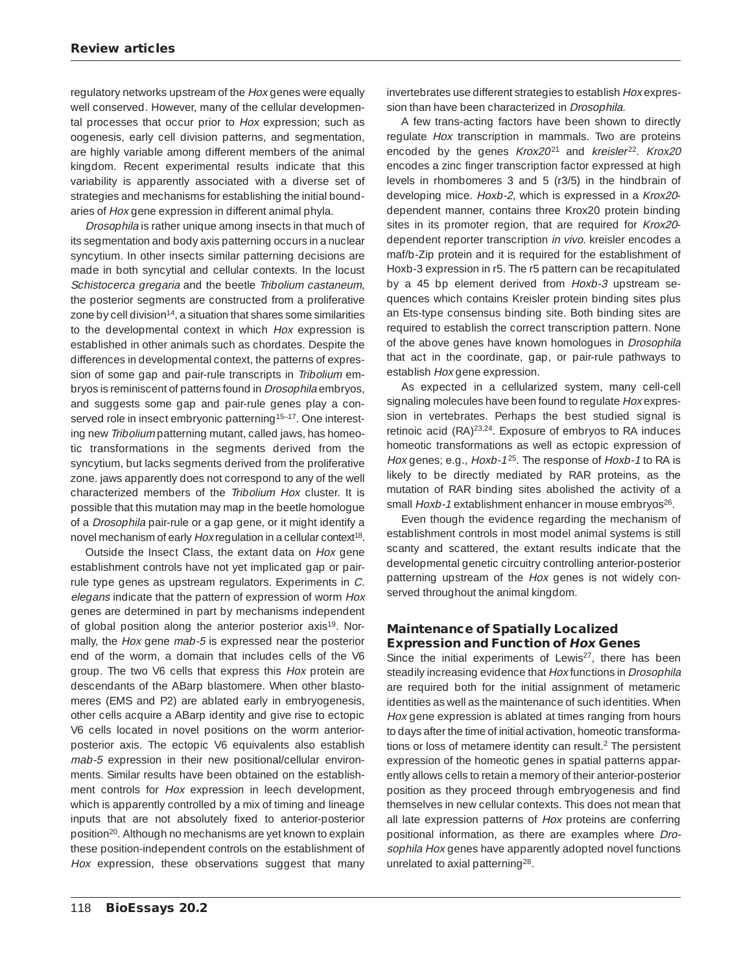regulatory networks upstream of the Hox genes were equally well conserved. However, many of the cellular developmental processes that occur prior to Hox expression; such as oogenesis, early cell division patterns, and segmentation, are highly variable among different members of the animal kingdom. Recent experimental results indicate that this variability is apparently associated with a diverse set of strategies and mechanisms for establishing the initial boundaries of Hox gene expression in different animal phyla.

Drosophila is rather unique among insects in that much of its segmentation and body axis patterning occurs in a nuclear syncytium. In other insects similar patterning decisions are made in both syncytial and cellular contexts. In the locust Schistocerca gregaria and the beetle Tribolium castaneum, the posterior segments are constructed from a proliferative zone by cell division<sup>14</sup>, a situation that shares some similarities to the developmental context in which Hox expression is established in other animals such as chordates. Despite the differences in developmental context, the patterns of expression of some gap and pair-rule transcripts in Tribolium embryos is reminiscent of patterns found in Drosophila embryos, and suggests some gap and pair-rule genes play a conserved role in insect embryonic patterning<sup>15-17</sup>. One interesting new Tribolium patterning mutant, called jaws, has homeotic transformations in the segments derived from the syncytium, but lacks segments derived from the proliferative zone. jaws apparently does not correspond to any of the well characterized members of the Tribolium Hox cluster. It is possible that this mutation may map in the beetle homologue of a Drosophila pair-rule or a gap gene, or it might identify a novel mechanism of early Hox regulation in a cellular context<sup>18</sup>.

Outside the Insect Class, the extant data on Hox gene establishment controls have not yet implicated gap or pairrule type genes as upstream regulators. Experiments in C. elegans indicate that the pattern of expression of worm Hox genes are determined in part by mechanisms independent of global position along the anterior posterior axis<sup>19</sup>. Normally, the Hox gene mab-5 is expressed near the posterior end of the worm, a domain that includes cells of the V6 group. The two V6 cells that express this Hox protein are descendants of the ABarp blastomere. When other blastomeres (EMS and P2) are ablated early in embryogenesis, other cells acquire a ABarp identity and give rise to ectopic V6 cells located in novel positions on the worm anteriorposterior axis. The ectopic V6 equivalents also establish mab-5 expression in their new positional/cellular environments. Similar results have been obtained on the establishment controls for Hox expression in leech development, which is apparently controlled by a mix of timing and lineage inputs that are not absolutely fixed to anterior-posterior position20. Although no mechanisms are yet known to explain these position-independent controls on the establishment of Hox expression, these observations suggest that many

invertebrates use different strategies to establish Hox expression than have been characterized in Drosophila.

A few trans-acting factors have been shown to directly regulate Hox transcription in mammals. Two are proteins encoded by the genes Krox20<sup>21</sup> and kreisler<sup>22</sup>. Krox20 encodes a zinc finger transcription factor expressed at high levels in rhombomeres 3 and 5 (r3/5) in the hindbrain of developing mice. Hoxb-2, which is expressed in a Krox20 dependent manner, contains three Krox20 protein binding sites in its promoter region, that are required for Krox20 dependent reporter transcription in vivo. kreisler encodes a maf/b-Zip protein and it is required for the establishment of Hoxb-3 expression in r5. The r5 pattern can be recapitulated by a 45 bp element derived from Hoxb-3 upstream sequences which contains Kreisler protein binding sites plus an Ets-type consensus binding site. Both binding sites are required to establish the correct transcription pattern. None of the above genes have known homologues in Drosophila that act in the coordinate, gap, or pair-rule pathways to establish Hox gene expression.

As expected in a cellularized system, many cell-cell signaling molecules have been found to regulate Hox expression in vertebrates. Perhaps the best studied signal is retinoic acid (RA)23,24. Exposure of embryos to RA induces homeotic transformations as well as ectopic expression of Hox genes; e.g., Hoxb-1<sup>25</sup>. The response of Hoxb-1 to RA is likely to be directly mediated by RAR proteins, as the mutation of RAR binding sites abolished the activity of a small Hoxb-1 extablishment enhancer in mouse embryos<sup>26</sup>.

Even though the evidence regarding the mechanism of establishment controls in most model animal systems is still scanty and scattered, the extant results indicate that the developmental genetic circuitry controlling anterior-posterior patterning upstream of the Hox genes is not widely conserved throughout the animal kingdom.

#### **Maintenance of Spatially Localized Expression and Function of Hox Genes**

Since the initial experiments of Lewis<sup>27</sup>, there has been steadily increasing evidence that Hox functions in Drosophila are required both for the initial assignment of metameric identities as well as the maintenance of such identities. When Hox gene expression is ablated at times ranging from hours to days after the time of initial activation, homeotic transformations or loss of metamere identity can result.2 The persistent expression of the homeotic genes in spatial patterns apparently allows cells to retain a memory of their anterior-posterior position as they proceed through embryogenesis and find themselves in new cellular contexts. This does not mean that all late expression patterns of Hox proteins are conferring positional information, as there are examples where Drosophila Hox genes have apparently adopted novel functions unrelated to axial patterning<sup>28</sup>.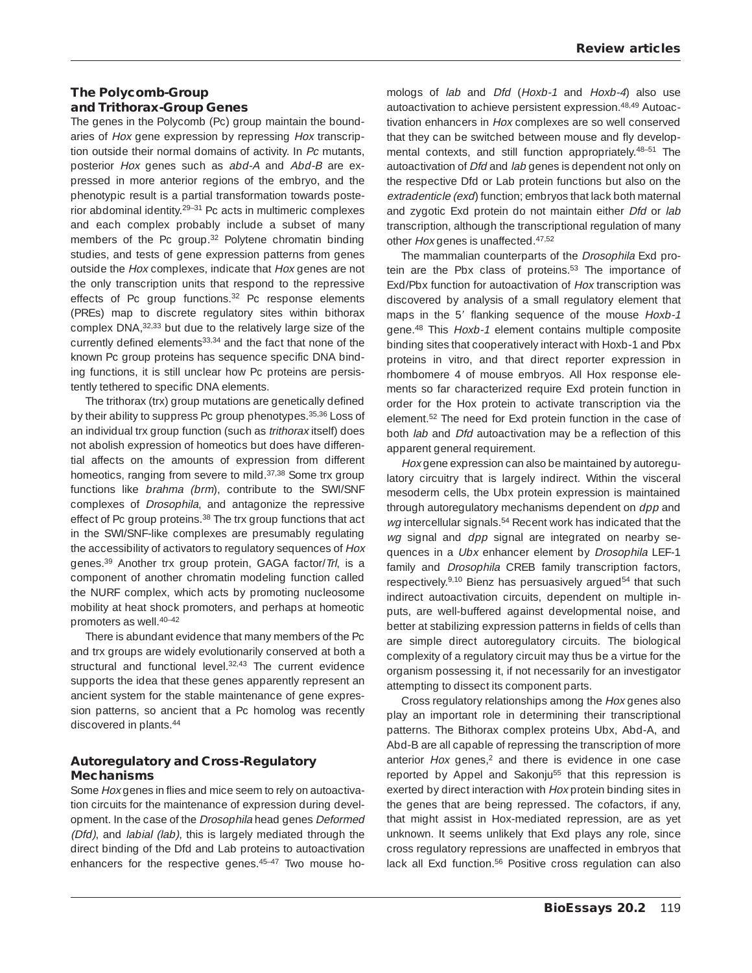## **The Polycomb-Group and Trithorax-Group Genes**

The genes in the Polycomb (Pc) group maintain the boundaries of Hox gene expression by repressing Hox transcription outside their normal domains of activity. In Pc mutants, posterior Hox genes such as abd-A and Abd-B are expressed in more anterior regions of the embryo, and the phenotypic result is a partial transformation towards posterior abdominal identity.29–31 Pc acts in multimeric complexes and each complex probably include a subset of many members of the Pc group.<sup>32</sup> Polytene chromatin binding studies, and tests of gene expression patterns from genes outside the Hox complexes, indicate that Hox genes are not the only transcription units that respond to the repressive effects of Pc group functions.<sup>32</sup> Pc response elements (PREs) map to discrete regulatory sites within bithorax complex DNA,32,33 but due to the relatively large size of the currently defined elements<sup>33,34</sup> and the fact that none of the known Pc group proteins has sequence specific DNA binding functions, it is still unclear how Pc proteins are persistently tethered to specific DNA elements.

The trithorax (trx) group mutations are genetically defined by their ability to suppress Pc group phenotypes.<sup>35,36</sup> Loss of an individual trx group function (such as trithorax itself) does not abolish expression of homeotics but does have differential affects on the amounts of expression from different homeotics, ranging from severe to mild.<sup>37,38</sup> Some trx group functions like brahma (brm), contribute to the SWI/SNF complexes of Drosophila, and antagonize the repressive effect of Pc group proteins.<sup>38</sup> The trx group functions that act in the SWI/SNF-like complexes are presumably regulating the accessibility of activators to regulatory sequences of Hox genes.<sup>39</sup> Another trx group protein, GAGA factor/Trl, is a component of another chromatin modeling function called the NURF complex, which acts by promoting nucleosome mobility at heat shock promoters, and perhaps at homeotic promoters as well.40–42

There is abundant evidence that many members of the Pc and trx groups are widely evolutionarily conserved at both a structural and functional level.<sup>32,43</sup> The current evidence supports the idea that these genes apparently represent an ancient system for the stable maintenance of gene expression patterns, so ancient that a Pc homolog was recently discovered in plants.44

## **Autoregulatory and Cross-Regulatory Mechanisms**

Some Hox genes in flies and mice seem to rely on autoactivation circuits for the maintenance of expression during development. In the case of the Drosophila head genes Deformed (Dfd), and labial (lab), this is largely mediated through the direct binding of the Dfd and Lab proteins to autoactivation enhancers for the respective genes.45–47 Two mouse homologs of lab and Dfd (Hoxb-1 and Hoxb-4) also use autoactivation to achieve persistent expression.<sup>48,49</sup> Autoactivation enhancers in Hox complexes are so well conserved that they can be switched between mouse and fly developmental contexts, and still function appropriately.48–51 The autoactivation of Dfd and lab genes is dependent not only on the respective Dfd or Lab protein functions but also on the extradenticle (exd) function; embryos that lack both maternal and zygotic Exd protein do not maintain either Dfd or lab transcription, although the transcriptional regulation of many other Hox genes is unaffected.47,52

The mammalian counterparts of the Drosophila Exd protein are the Pbx class of proteins.<sup>53</sup> The importance of Exd/Pbx function for autoactivation of Hox transcription was discovered by analysis of a small regulatory element that maps in the 5' flanking sequence of the mouse Hoxb-1 gene.48 This Hoxb-1 element contains multiple composite binding sites that cooperatively interact with Hoxb-1 and Pbx proteins in vitro, and that direct reporter expression in rhombomere 4 of mouse embryos. All Hox response elements so far characterized require Exd protein function in order for the Hox protein to activate transcription via the element.52 The need for Exd protein function in the case of both lab and Dfd autoactivation may be a reflection of this apparent general requirement.

Hox gene expression can also be maintained by autoregulatory circuitry that is largely indirect. Within the visceral mesoderm cells, the Ubx protein expression is maintained through autoregulatory mechanisms dependent on dpp and wg intercellular signals.<sup>54</sup> Recent work has indicated that the wg signal and dpp signal are integrated on nearby sequences in a Ubx enhancer element by Drosophila LEF-1 family and *Drosophila* CREB family transcription factors, respectively.<sup>9,10</sup> Bienz has persuasively argued<sup>54</sup> that such indirect autoactivation circuits, dependent on multiple inputs, are well-buffered against developmental noise, and better at stabilizing expression patterns in fields of cells than are simple direct autoregulatory circuits. The biological complexity of a regulatory circuit may thus be a virtue for the organism possessing it, if not necessarily for an investigator attempting to dissect its component parts.

Cross regulatory relationships among the Hox genes also play an important role in determining their transcriptional patterns. The Bithorax complex proteins Ubx, Abd-A, and Abd-B are all capable of repressing the transcription of more anterior Hox genes,<sup>2</sup> and there is evidence in one case reported by Appel and Sakonju<sup>55</sup> that this repression is exerted by direct interaction with Hox protein binding sites in the genes that are being repressed. The cofactors, if any, that might assist in Hox-mediated repression, are as yet unknown. It seems unlikely that Exd plays any role, since cross regulatory repressions are unaffected in embryos that lack all Exd function.<sup>56</sup> Positive cross regulation can also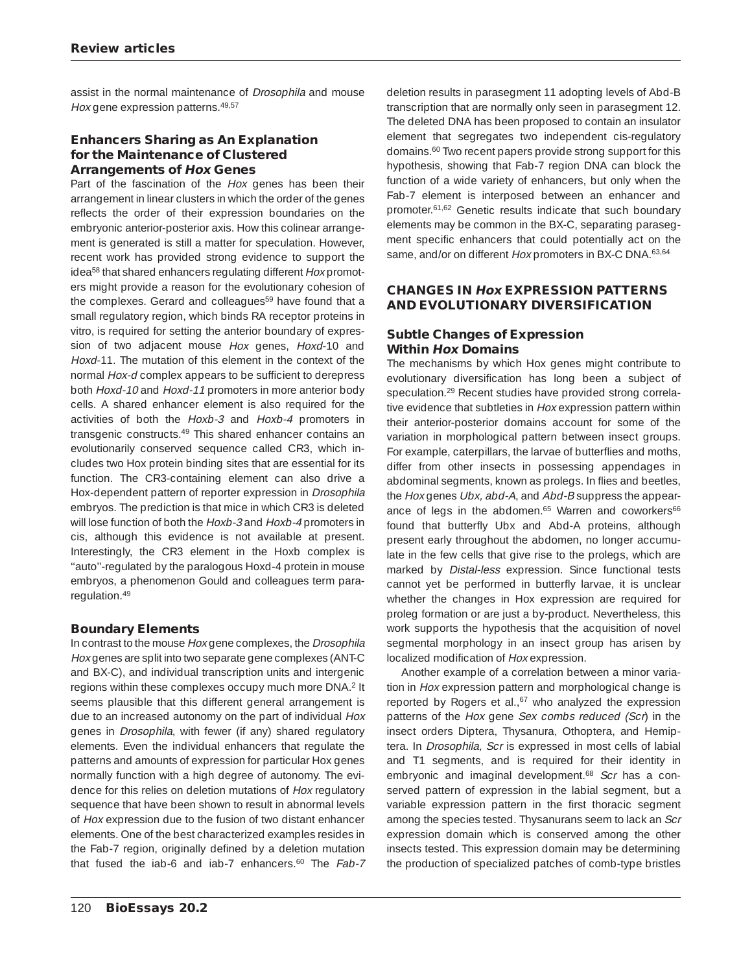assist in the normal maintenance of Drosophila and mouse Hox gene expression patterns.<sup>49,57</sup>

#### **Enhancers Sharing as An Explanation for the Maintenance of Clustered Arrangements of Hox Genes**

Part of the fascination of the Hox genes has been their arrangement in linear clusters in which the order of the genes reflects the order of their expression boundaries on the embryonic anterior-posterior axis. How this colinear arrangement is generated is still a matter for speculation. However, recent work has provided strong evidence to support the idea<sup>58</sup> that shared enhancers regulating different Hox promoters might provide a reason for the evolutionary cohesion of the complexes. Gerard and colleagues<sup>59</sup> have found that a small regulatory region, which binds RA receptor proteins in vitro, is required for setting the anterior boundary of expression of two adjacent mouse Hox genes, Hoxd-10 and Hoxd-11. The mutation of this element in the context of the normal Hox-d complex appears to be sufficient to derepress both Hoxd-10 and Hoxd-11 promoters in more anterior body cells. A shared enhancer element is also required for the activities of both the Hoxb-3 and Hoxb-4 promoters in transgenic constructs.49 This shared enhancer contains an evolutionarily conserved sequence called CR3, which includes two Hox protein binding sites that are essential for its function. The CR3-containing element can also drive a Hox-dependent pattern of reporter expression in Drosophila embryos. The prediction is that mice in which CR3 is deleted will lose function of both the Hoxb-3 and Hoxb-4 promoters in cis, although this evidence is not available at present. Interestingly, the CR3 element in the Hoxb complex is ''auto''-regulated by the paralogous Hoxd-4 protein in mouse embryos, a phenomenon Gould and colleagues term pararegulation.49

## **Boundary Elements**

In contrast to the mouse Hox gene complexes, the Drosophila Hox genes are split into two separate gene complexes (ANT-C and BX-C), and individual transcription units and intergenic regions within these complexes occupy much more DNA.2 It seems plausible that this different general arrangement is due to an increased autonomy on the part of individual Hox genes in Drosophila, with fewer (if any) shared regulatory elements. Even the individual enhancers that regulate the patterns and amounts of expression for particular Hox genes normally function with a high degree of autonomy. The evidence for this relies on deletion mutations of Hox regulatory sequence that have been shown to result in abnormal levels of Hox expression due to the fusion of two distant enhancer elements. One of the best characterized examples resides in the Fab-7 region, originally defined by a deletion mutation that fused the iab-6 and iab-7 enhancers.<sup>60</sup> The Fab-7 deletion results in parasegment 11 adopting levels of Abd-B transcription that are normally only seen in parasegment 12. The deleted DNA has been proposed to contain an insulator element that segregates two independent cis-regulatory domains.60 Two recent papers provide strong support for this hypothesis, showing that Fab-7 region DNA can block the function of a wide variety of enhancers, but only when the Fab-7 element is interposed between an enhancer and promoter.61,62 Genetic results indicate that such boundary elements may be common in the BX-C, separating parasegment specific enhancers that could potentially act on the same, and/or on different Hox promoters in BX-C DNA.<sup>63,64</sup>

## **CHANGES IN Hox EXPRESSION PATTERNS AND EVOLUTIONARY DIVERSIFICATION**

#### **Subtle Changes of Expression Within Hox Domains**

The mechanisms by which Hox genes might contribute to evolutionary diversification has long been a subject of speculation.29 Recent studies have provided strong correlative evidence that subtleties in Hox expression pattern within their anterior-posterior domains account for some of the variation in morphological pattern between insect groups. For example, caterpillars, the larvae of butterflies and moths, differ from other insects in possessing appendages in abdominal segments, known as prolegs. In flies and beetles, the Hox genes Ubx, abd-A, and Abd-B suppress the appearance of legs in the abdomen.<sup>65</sup> Warren and coworkers<sup>66</sup> found that butterfly Ubx and Abd-A proteins, although present early throughout the abdomen, no longer accumulate in the few cells that give rise to the prolegs, which are marked by Distal-less expression. Since functional tests cannot yet be performed in butterfly larvae, it is unclear whether the changes in Hox expression are required for proleg formation or are just a by-product. Nevertheless, this work supports the hypothesis that the acquisition of novel segmental morphology in an insect group has arisen by localized modification of Hox expression.

Another example of a correlation between a minor variation in Hox expression pattern and morphological change is reported by Rogers et al.,<sup>67</sup> who analyzed the expression patterns of the Hox gene Sex combs reduced (Scr) in the insect orders Diptera, Thysanura, Othoptera, and Hemiptera. In Drosophila, Scr is expressed in most cells of labial and T1 segments, and is required for their identity in embryonic and imaginal development.<sup>68</sup> Scr has a conserved pattern of expression in the labial segment, but a variable expression pattern in the first thoracic segment among the species tested. Thysanurans seem to lack an Scr expression domain which is conserved among the other insects tested. This expression domain may be determining the production of specialized patches of comb-type bristles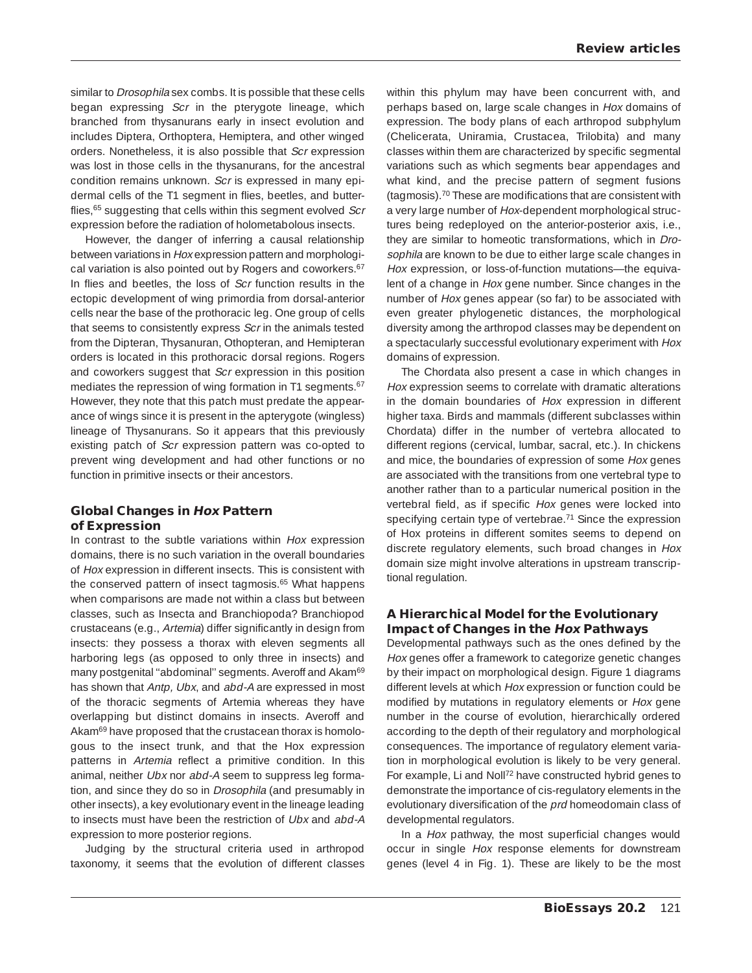similar to Drosophila sex combs. It is possible that these cells began expressing Scr in the pterygote lineage, which branched from thysanurans early in insect evolution and includes Diptera, Orthoptera, Hemiptera, and other winged orders. Nonetheless, it is also possible that Scr expression was lost in those cells in the thysanurans, for the ancestral condition remains unknown. Scr is expressed in many epidermal cells of the T1 segment in flies, beetles, and butterflies,<sup>65</sup> suggesting that cells within this segment evolved Scr expression before the radiation of holometabolous insects.

However, the danger of inferring a causal relationship between variations in Hox expression pattern and morphological variation is also pointed out by Rogers and coworkers.<sup>67</sup> In flies and beetles, the loss of Scr function results in the ectopic development of wing primordia from dorsal-anterior cells near the base of the prothoracic leg. One group of cells that seems to consistently express Scr in the animals tested from the Dipteran, Thysanuran, Othopteran, and Hemipteran orders is located in this prothoracic dorsal regions. Rogers and coworkers suggest that Scr expression in this position mediates the repression of wing formation in T1 segments.<sup>67</sup> However, they note that this patch must predate the appearance of wings since it is present in the apterygote (wingless) lineage of Thysanurans. So it appears that this previously existing patch of Scr expression pattern was co-opted to prevent wing development and had other functions or no function in primitive insects or their ancestors.

#### **Global Changes in Hox Pattern of Expression**

In contrast to the subtle variations within Hox expression domains, there is no such variation in the overall boundaries of Hox expression in different insects. This is consistent with the conserved pattern of insect tagmosis.<sup>65</sup> What happens when comparisons are made not within a class but between classes, such as Insecta and Branchiopoda? Branchiopod crustaceans (e.g., Artemia) differ significantly in design from insects: they possess a thorax with eleven segments all harboring legs (as opposed to only three in insects) and many postgenital "abdominal" segments. Averoff and Akam<sup>69</sup> has shown that Antp, Ubx, and abd-A are expressed in most of the thoracic segments of Artemia whereas they have overlapping but distinct domains in insects. Averoff and Akam<sup>69</sup> have proposed that the crustacean thorax is homologous to the insect trunk, and that the Hox expression patterns in Artemia reflect a primitive condition. In this animal, neither Ubx nor abd-A seem to suppress leg formation, and since they do so in Drosophila (and presumably in other insects), a key evolutionary event in the lineage leading to insects must have been the restriction of Ubx and abd-A expression to more posterior regions.

Judging by the structural criteria used in arthropod taxonomy, it seems that the evolution of different classes within this phylum may have been concurrent with, and perhaps based on, large scale changes in Hox domains of expression. The body plans of each arthropod subphylum (Chelicerata, Uniramia, Crustacea, Trilobita) and many classes within them are characterized by specific segmental variations such as which segments bear appendages and what kind, and the precise pattern of segment fusions (tagmosis).70 These are modifications that are consistent with a very large number of Hox-dependent morphological structures being redeployed on the anterior-posterior axis, i.e., they are similar to homeotic transformations, which in Drosophila are known to be due to either large scale changes in Hox expression, or loss-of-function mutations—the equivalent of a change in Hox gene number. Since changes in the number of Hox genes appear (so far) to be associated with even greater phylogenetic distances, the morphological diversity among the arthropod classes may be dependent on a spectacularly successful evolutionary experiment with Hox domains of expression.

The Chordata also present a case in which changes in Hox expression seems to correlate with dramatic alterations in the domain boundaries of Hox expression in different higher taxa. Birds and mammals (different subclasses within Chordata) differ in the number of vertebra allocated to different regions (cervical, lumbar, sacral, etc.). In chickens and mice, the boundaries of expression of some Hox genes are associated with the transitions from one vertebral type to another rather than to a particular numerical position in the vertebral field, as if specific Hox genes were locked into specifying certain type of vertebrae.<sup>71</sup> Since the expression of Hox proteins in different somites seems to depend on discrete regulatory elements, such broad changes in Hox domain size might involve alterations in upstream transcriptional regulation.

#### **A Hierarchical Model for the Evolutionary Impact of Changes in the Hox Pathways**

Developmental pathways such as the ones defined by the Hox genes offer a framework to categorize genetic changes by their impact on morphological design. Figure 1 diagrams different levels at which Hox expression or function could be modified by mutations in regulatory elements or Hox gene number in the course of evolution, hierarchically ordered according to the depth of their regulatory and morphological consequences. The importance of regulatory element variation in morphological evolution is likely to be very general. For example, Li and Noll<sup>72</sup> have constructed hybrid genes to demonstrate the importance of cis-regulatory elements in the evolutionary diversification of the prd homeodomain class of developmental regulators.

In a Hox pathway, the most superficial changes would occur in single Hox response elements for downstream genes (level 4 in Fig. 1). These are likely to be the most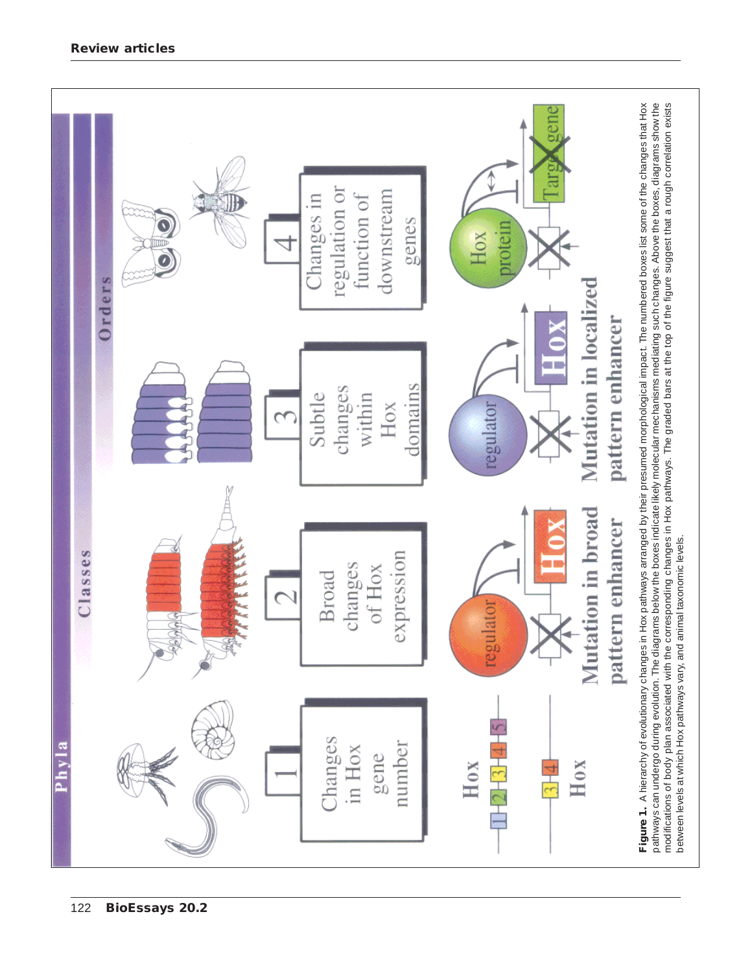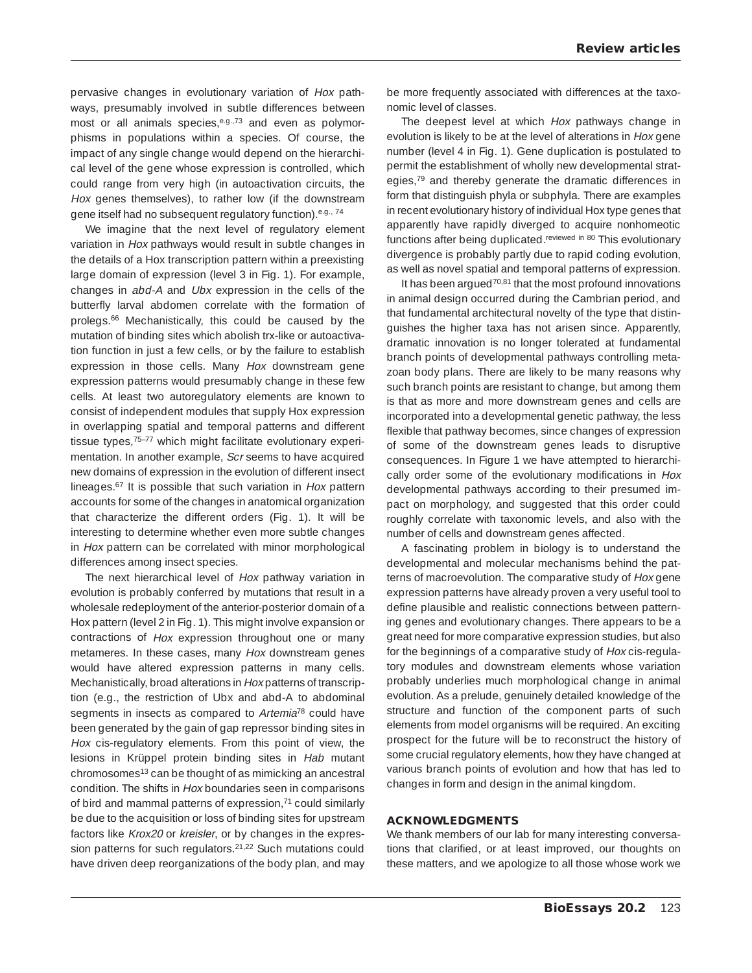pervasive changes in evolutionary variation of Hox pathways, presumably involved in subtle differences between most or all animals species, e.g., 73 and even as polymorphisms in populations within a species. Of course, the impact of any single change would depend on the hierarchical level of the gene whose expression is controlled, which could range from very high (in autoactivation circuits, the Hox genes themselves), to rather low (if the downstream gene itself had no subsequent regulatory function).<sup>e.g., 74</sup>

We imagine that the next level of regulatory element variation in Hox pathways would result in subtle changes in the details of a Hox transcription pattern within a preexisting large domain of expression (level 3 in Fig. 1). For example, changes in abd-A and Ubx expression in the cells of the butterfly larval abdomen correlate with the formation of prolegs.66 Mechanistically, this could be caused by the mutation of binding sites which abolish trx-like or autoactivation function in just a few cells, or by the failure to establish expression in those cells. Many Hox downstream gene expression patterns would presumably change in these few cells. At least two autoregulatory elements are known to consist of independent modules that supply Hox expression in overlapping spatial and temporal patterns and different tissue types,<sup>75-77</sup> which might facilitate evolutionary experimentation. In another example, Scr seems to have acquired new domains of expression in the evolution of different insect lineages.<sup>67</sup> It is possible that such variation in Hox pattern accounts for some of the changes in anatomical organization that characterize the different orders (Fig. 1). It will be interesting to determine whether even more subtle changes in Hox pattern can be correlated with minor morphological differences among insect species.

The next hierarchical level of Hox pathway variation in evolution is probably conferred by mutations that result in a wholesale redeployment of the anterior-posterior domain of a Hox pattern (level 2 in Fig. 1). This might involve expansion or contractions of Hox expression throughout one or many metameres. In these cases, many Hox downstream genes would have altered expression patterns in many cells. Mechanistically, broad alterations in Hox patterns of transcription (e.g., the restriction of Ubx and abd-A to abdominal segments in insects as compared to Artemia<sup>78</sup> could have been generated by the gain of gap repressor binding sites in Hox cis-regulatory elements. From this point of view, the lesions in Krüppel protein binding sites in Hab mutant chromosomes13 can be thought of as mimicking an ancestral condition. The shifts in Hox boundaries seen in comparisons of bird and mammal patterns of expression,<sup>71</sup> could similarly be due to the acquisition or loss of binding sites for upstream factors like Krox20 or kreisler, or by changes in the expression patterns for such regulators.<sup>21,22</sup> Such mutations could have driven deep reorganizations of the body plan, and may be more frequently associated with differences at the taxonomic level of classes.

The deepest level at which Hox pathways change in evolution is likely to be at the level of alterations in Hox gene number (level 4 in Fig. 1). Gene duplication is postulated to permit the establishment of wholly new developmental strategies,<sup>79</sup> and thereby generate the dramatic differences in form that distinguish phyla or subphyla. There are examples in recent evolutionary history of individual Hox type genes that apparently have rapidly diverged to acquire nonhomeotic functions after being duplicated.<sup>reviewed in 80</sup> This evolutionary divergence is probably partly due to rapid coding evolution, as well as novel spatial and temporal patterns of expression.

It has been argued<sup>70,81</sup> that the most profound innovations in animal design occurred during the Cambrian period, and that fundamental architectural novelty of the type that distinguishes the higher taxa has not arisen since. Apparently, dramatic innovation is no longer tolerated at fundamental branch points of developmental pathways controlling metazoan body plans. There are likely to be many reasons why such branch points are resistant to change, but among them is that as more and more downstream genes and cells are incorporated into a developmental genetic pathway, the less flexible that pathway becomes, since changes of expression of some of the downstream genes leads to disruptive consequences. In Figure 1 we have attempted to hierarchically order some of the evolutionary modifications in Hox developmental pathways according to their presumed impact on morphology, and suggested that this order could roughly correlate with taxonomic levels, and also with the number of cells and downstream genes affected.

A fascinating problem in biology is to understand the developmental and molecular mechanisms behind the patterns of macroevolution. The comparative study of Hox gene expression patterns have already proven a very useful tool to define plausible and realistic connections between patterning genes and evolutionary changes. There appears to be a great need for more comparative expression studies, but also for the beginnings of a comparative study of Hox cis-regulatory modules and downstream elements whose variation probably underlies much morphological change in animal evolution. As a prelude, genuinely detailed knowledge of the structure and function of the component parts of such elements from model organisms will be required. An exciting prospect for the future will be to reconstruct the history of some crucial regulatory elements, how they have changed at various branch points of evolution and how that has led to changes in form and design in the animal kingdom.

#### **ACKNOWLEDGMENTS**

We thank members of our lab for many interesting conversations that clarified, or at least improved, our thoughts on these matters, and we apologize to all those whose work we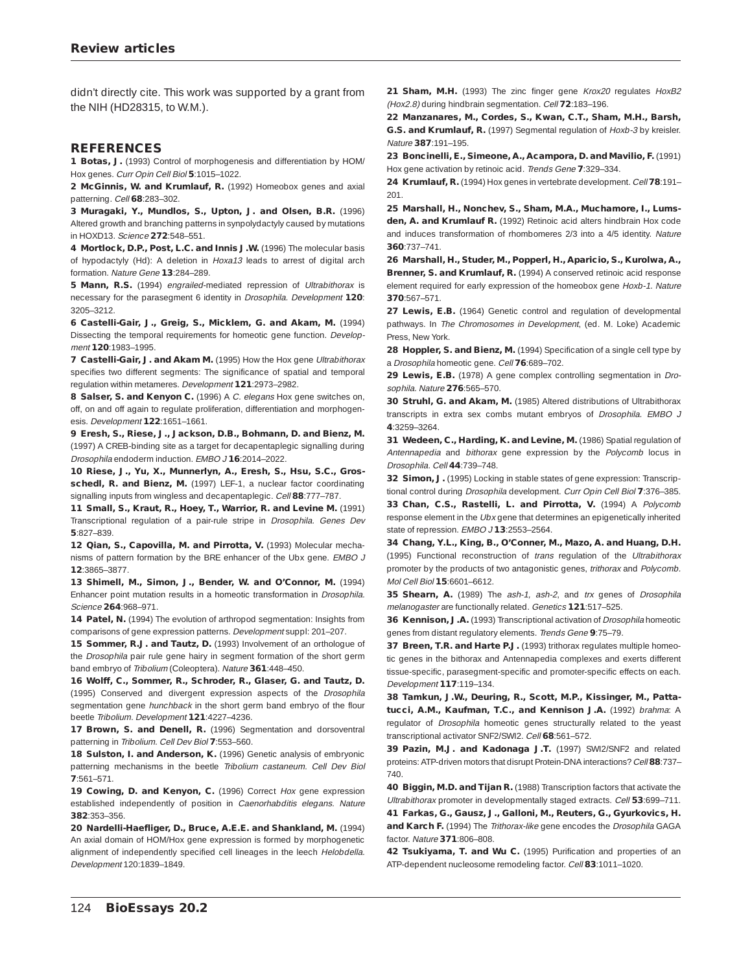didn't directly cite. This work was supported by a grant from the NIH (HD28315, to W.M.).

#### **REFERENCES**

**1 Botas, J.** (1993) Control of morphogenesis and differentiation by HOM/ Hox genes. Curr Opin Cell Biol **5**:1015–1022.

**2 McGinnis, W. and Krumlauf, R.** (1992) Homeobox genes and axial patterning. Cell **68**:283–302.

**3 Muragaki, Y., Mundlos, S., Upton, J. and Olsen, B.R.** (1996) Altered growth and branching patterns in synpolydactyly caused by mutations in HOXD13. Science **272**:548–551.

**4 Mortlock, D.P., Post, L.C. and Innis J.W.** (1996) The molecular basis of hypodactyly (Hd): A deletion in Hoxa13 leads to arrest of digital arch formation. Nature Gene **13**:284–289.

**5 Mann, R.S.** (1994) engrailed-mediated repression of Ultrabithorax is necessary for the parasegment 6 identity in Drosophila. Development **120**: 3205–3212.

**6 Castelli-Gair, J., Greig, S., Micklem, G. and Akam, M.** (1994) Dissecting the temporal requirements for homeotic gene function. Development **120**:1983–1995.

7 Castelli-Gair, J. and Akam M. (1995) How the Hox gene Ultrabithorax specifies two different segments: The significance of spatial and temporal regulation within metameres. Development **121**:2973–2982.

**8 Salser, S. and Kenyon C.** (1996) A C. elegans Hox gene switches on, off, on and off again to regulate proliferation, differentiation and morphogenesis. Development **122**:1651–1661.

**9 Eresh, S., Riese, J., Jackson, D.B., Bohmann, D. and Bienz, M.** (1997) A CREB-binding site as a target for decapentaplegic signalling during Drosophila endoderm induction. EMBO J **16**:2014–2022.

**10 Riese, J., Yu, X., Munnerlyn, A., Eresh, S., Hsu, S.C., Gros**schedl, R. and Bienz, M. (1997) LEF-1, a nuclear factor coordinating signalling inputs from wingless and decapentaplegic. Cell **88**:777–787.

**11 Small, S., Kraut, R., Hoey, T., Warrior, R. and Levine M.** (1991) Transcriptional regulation of a pair-rule stripe in Drosophila. Genes Dev **5**:827–839.

**12 Qian, S., Capovilla, M. and Pirrotta, V.** (1993) Molecular mechanisms of pattern formation by the BRE enhancer of the Ubx gene. EMBO J **12**:3865–3877.

**13 Shimell, M., Simon, J., Bender, W. and O'Connor, M.** (1994) Enhancer point mutation results in a homeotic transformation in Drosophila. Science **264**:968–971.

14 Patel, N. (1994) The evolution of arthropod segmentation: Insights from comparisons of gene expression patterns. Development suppl: 201–207.

15 Sommer, R.J. and Tautz, D. (1993) Involvement of an orthologue of the Drosophila pair rule gene hairy in segment formation of the short germ band embryo of Tribolium (Coleoptera). Nature **361**:448–450.

**16 Wolff, C., Sommer, R., Schroder, R., Glaser, G. and Tautz, D.** (1995) Conserved and divergent expression aspects of the Drosophila segmentation gene hunchback in the short germ band embryo of the flour beetle Tribolium. Development **121**:4227–4236.

17 Brown, S. and Denell, R. (1996) Segmentation and dorsoventral patterning in Tribolium. Cell Dev Biol **7**:553–560.

18 Sulston, I. and Anderson, K. (1996) Genetic analysis of embryonic patterning mechanisms in the beetle Tribolium castaneum. Cell Dev Biol **7**:561–571.

**19 Cowing, D. and Kenyon, C.** (1996) Correct Hox gene expression established independently of position in Caenorhabditis elegans. Nature **382**:353–356.

**20 Nardelli-Haefliger, D., Bruce, A.E.E. and Shankland, M.** (1994) An axial domain of HOM/Hox gene expression is formed by morphogenetic alignment of independently specified cell lineages in the leech Helobdella. Development 120:1839–1849.

21 Sham, M.H. (1993) The zinc finger gene Krox20 regulates HoxB2 (Hox2.8) during hindbrain segmentation. Cell **72**:183–196.

**22 Manzanares, M., Cordes, S., Kwan, C.T., Sham, M.H., Barsh, G.S. and Krumlauf, R.** (1997) Segmental regulation of Hoxb-3 by kreisler. Nature **387**:191–195.

**23 Boncinelli, E., Simeone, A., Acampora, D. and Mavilio, F.** (1991) Hox gene activation by retinoic acid. Trends Gene **7**:329–334.

**24 Krumlauf, R.** (1994) Hox genes in vertebrate development. Cell **78**:191– 201.

**25 Marshall, H., Nonchev, S., Sham, M.A., Muchamore, I., Lumsden, A. and Krumlauf R.** (1992) Retinoic acid alters hindbrain Hox code and induces transformation of rhombomeres 2/3 into a 4/5 identity. Nature **360**:737–741.

**26 Marshall, H., Studer, M., Popperl, H., Aparicio, S., Kurolwa, A., Brenner, S. and Krumlauf, R.** (1994) A conserved retinoic acid response element required for early expression of the homeobox gene Hoxb-1. Nature **370**:567–571.

27 Lewis, E.B. (1964) Genetic control and regulation of developmental pathways. In The Chromosomes in Development, (ed. M. Loke) Academic Press, New York.

28 Hoppler, S. and Bienz, M. (1994) Specification of a single cell type by a Drosophila homeotic gene. Cell **76**:689–702.

29 Lewis, E.B. (1978) A gene complex controlling segmentation in Drosophila. Nature **276**:565–570.

**30 Struhl, G. and Akam, M.** (1985) Altered distributions of Ultrabithorax transcripts in extra sex combs mutant embryos of Drosophila. EMBO J **4**:3259–3264.

**31 Wedeen, C., Harding, K. and Levine, M.** (1986) Spatial regulation of Antennapedia and bithorax gene expression by the Polycomb locus in Drosophila. Cell **44**:739–748.

**32 Simon, J.** (1995) Locking in stable states of gene expression: Transcriptional control during Drosophila development. Curr Opin Cell Biol **7**:376–385.

**33 Chan, C.S., Rastelli, L. and Pirrotta, V.** (1994) A Polycomb response element in the Ubx gene that determines an epigenetically inherited state of repression. EMBO J **13**:2553–2564.

**34 Chang, Y.L., King, B., O'Conner, M., Mazo, A. and Huang, D.H.** (1995) Functional reconstruction of trans regulation of the Ultrabithorax promoter by the products of two antagonistic genes, trithorax and Polycomb. Mol Cell Biol **15**:6601–6612.

**35 Shearn, A.** (1989) The ash-1, ash-2, and trx genes of Drosophila melanogaster are functionally related. Genetics **121**:517–525.

**36 Kennison, J.A.** (1993) Transcriptional activation of *Drosophila* homeotic genes from distant regulatory elements. Trends Gene **9**:75–79.

**37 Breen, T.R. and Harte P.J.** (1993) trithorax regulates multiple homeotic genes in the bithorax and Antennapedia complexes and exerts different tissue-specific, parasegment-specific and promoter-specific effects on each. Development **117**:119–134.

**38 Tamkun, J.W., Deuring, R., Scott, M.P., Kissinger, M., Pattatucci, A.M., Kaufman, T.C., and Kennison J.A.** (1992) brahma: A regulator of Drosophila homeotic genes structurally related to the yeast transcriptional activator SNF2/SWI2. Cell **68**:561–572.

**39 Pazin, M.J. and Kadonaga J.T.** (1997) SWI2/SNF2 and related proteins: ATP-driven motors that disrupt Protein-DNA interactions? Cell **88**:737– 740.

**40 Biggin, M.D. and Tijan R.** (1988) Transcription factors that activate the Ultrabithorax promoter in developmentally staged extracts. Cell **53**:699–711.

**41 Farkas, G., Gausz, J., Galloni, M., Reuters, G., Gyurkovics, H.** and Karch F. (1994) The Trithorax-like gene encodes the Drosophila GAGA factor. Nature **371**:806–808.

**42 Tsukiyama, T. and Wu C.** (1995) Purification and properties of an ATP-dependent nucleosome remodeling factor. Cell **83**:1011–1020.